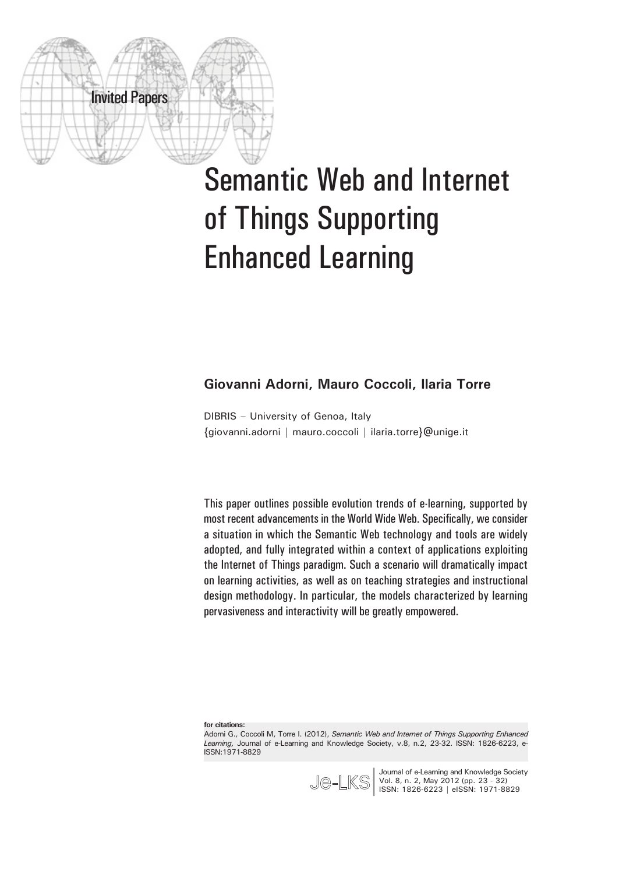

# Semantic Web and Internet of Things Supporting Enhanced Learning

#### **Giovanni Adorni, Mauro Coccoli, Ilaria Torre**

DIBRIS – University of Genoa, Italy {giovanni.adorni | mauro.coccoli | ilaria.torre}@unige.it

This paper outlines possible evolution trends of e-learning, supported by most recent advancements in the World Wide Web. Specifically, we consider a situation in which the Semantic Web technology and tools are widely adopted, and fully integrated within a context of applications exploiting the Internet of Things paradigm. Such a scenario will dramatically impact on learning activities, as well as on teaching strategies and instructional design methodology. In particular, the models characterized by learning pervasiveness and interactivity will be greatly empowered.

**for citations:**

Adorni G., Coccoli M, Torre I. (2012), *Semantic Web and Internet of Things Supporting Enhanced Learning,* Journal of e-Learning and Knowledge Society, v.8, n.2, 23-32. ISSN: 1826-6223, e-ISSN:1971-8829



Journal of e-Learning and Knowledge Society Vol. 8, n. 2, May 2012 (pp. 23 - 32) ISSN: 1826-6223 | eISSN: 1971-8829 **|**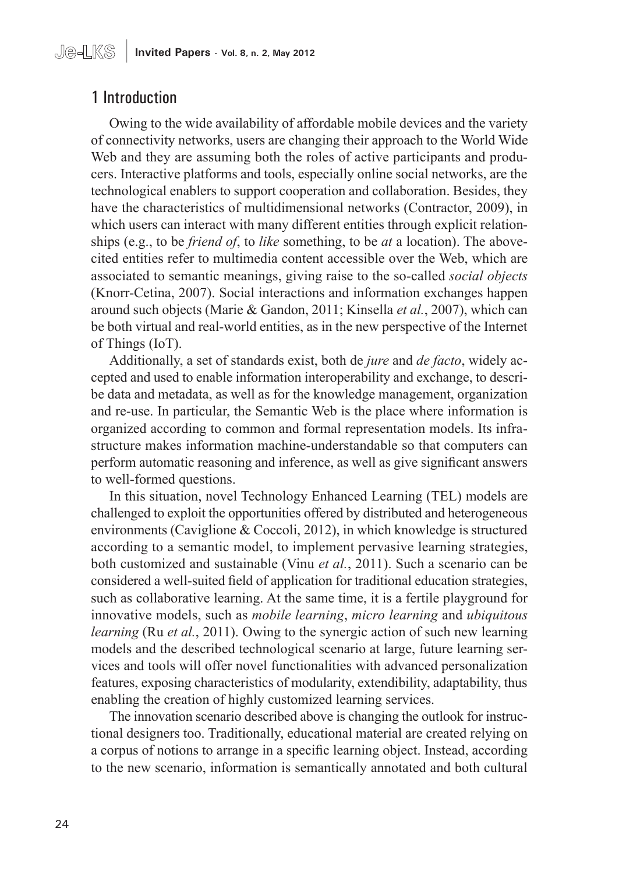# 1 Introduction

Owing to the wide availability of affordable mobile devices and the variety of connectivity networks, users are changing their approach to the World Wide Web and they are assuming both the roles of active participants and producers. Interactive platforms and tools, especially online social networks, are the technological enablers to support cooperation and collaboration. Besides, they have the characteristics of multidimensional networks (Contractor, 2009), in which users can interact with many different entities through explicit relationships (e.g., to be *friend of*, to *like* something, to be *at* a location). The abovecited entities refer to multimedia content accessible over the Web, which are associated to semantic meanings, giving raise to the so-called *social objects* (Knorr-Cetina, 2007). Social interactions and information exchanges happen around such objects (Marie & Gandon, 2011; Kinsella *et al.*, 2007), which can be both virtual and real-world entities, as in the new perspective of the Internet of Things (IoT).

Additionally, a set of standards exist, both de *jure* and *de facto*, widely accepted and used to enable information interoperability and exchange, to describe data and metadata, as well as for the knowledge management, organization and re-use. In particular, the Semantic Web is the place where information is organized according to common and formal representation models. Its infrastructure makes information machine-understandable so that computers can perform automatic reasoning and inference, as well as give significant answers to well-formed questions.

In this situation, novel Technology Enhanced Learning (TEL) models are challenged to exploit the opportunities offered by distributed and heterogeneous environments (Caviglione & Coccoli, 2012), in which knowledge is structured according to a semantic model, to implement pervasive learning strategies, both customized and sustainable (Vinu *et al.*, 2011). Such a scenario can be considered a well-suited field of application for traditional education strategies, such as collaborative learning. At the same time, it is a fertile playground for innovative models, such as *mobile learning*, *micro learning* and *ubiquitous learning* (Ru *et al.*, 2011). Owing to the synergic action of such new learning models and the described technological scenario at large, future learning services and tools will offer novel functionalities with advanced personalization features, exposing characteristics of modularity, extendibility, adaptability, thus enabling the creation of highly customized learning services.

The innovation scenario described above is changing the outlook for instructional designers too. Traditionally, educational material are created relying on a corpus of notions to arrange in a specific learning object. Instead, according to the new scenario, information is semantically annotated and both cultural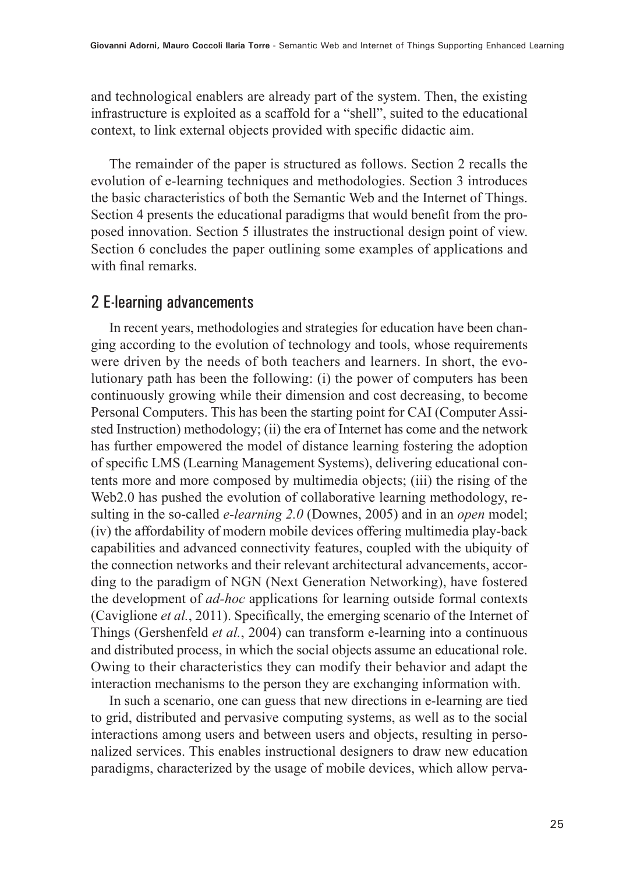and technological enablers are already part of the system. Then, the existing infrastructure is exploited as a scaffold for a "shell", suited to the educational context, to link external objects provided with specific didactic aim.

The remainder of the paper is structured as follows. Section 2 recalls the evolution of e-learning techniques and methodologies. Section 3 introduces the basic characteristics of both the Semantic Web and the Internet of Things. Section 4 presents the educational paradigms that would benefit from the proposed innovation. Section 5 illustrates the instructional design point of view. Section 6 concludes the paper outlining some examples of applications and with final remarks.

## 2 E-learning advancements

In recent years, methodologies and strategies for education have been changing according to the evolution of technology and tools, whose requirements were driven by the needs of both teachers and learners. In short, the evolutionary path has been the following: (i) the power of computers has been continuously growing while their dimension and cost decreasing, to become Personal Computers. This has been the starting point for CAI (Computer Assisted Instruction) methodology; (ii) the era of Internet has come and the network has further empowered the model of distance learning fostering the adoption of specific LMS (Learning Management Systems), delivering educational contents more and more composed by multimedia objects; (iii) the rising of the Web2.0 has pushed the evolution of collaborative learning methodology, resulting in the so-called *e-learning 2.0* (Downes, 2005) and in an *open* model; (iv) the affordability of modern mobile devices offering multimedia play-back capabilities and advanced connectivity features, coupled with the ubiquity of the connection networks and their relevant architectural advancements, according to the paradigm of NGN (Next Generation Networking), have fostered the development of *ad-hoc* applications for learning outside formal contexts (Caviglione *et al.*, 2011). Specifically, the emerging scenario of the Internet of Things (Gershenfeld *et al.*, 2004) can transform e-learning into a continuous and distributed process, in which the social objects assume an educational role. Owing to their characteristics they can modify their behavior and adapt the interaction mechanisms to the person they are exchanging information with.

In such a scenario, one can guess that new directions in e-learning are tied to grid, distributed and pervasive computing systems, as well as to the social interactions among users and between users and objects, resulting in personalized services. This enables instructional designers to draw new education paradigms, characterized by the usage of mobile devices, which allow perva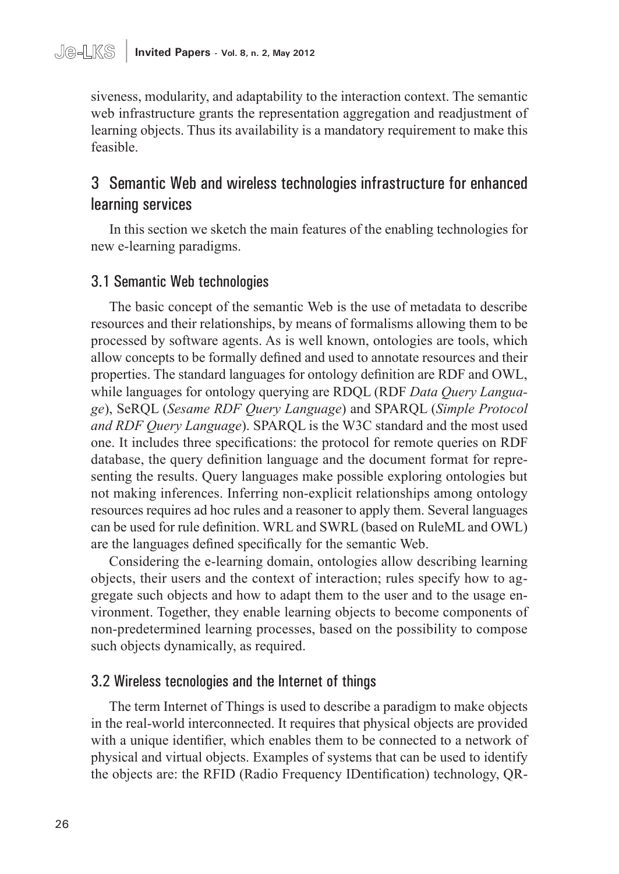siveness, modularity, and adaptability to the interaction context. The semantic web infrastructure grants the representation aggregation and readjustment of learning objects. Thus its availability is a mandatory requirement to make this feasible.

# 3 Semantic Web and wireless technologies infrastructure for enhanced learning services

In this section we sketch the main features of the enabling technologies for new e-learning paradigms.

#### 3.1 Semantic Web technologies

The basic concept of the semantic Web is the use of metadata to describe resources and their relationships, by means of formalisms allowing them to be processed by software agents. As is well known, ontologies are tools, which allow concepts to be formally defined and used to annotate resources and their properties. The standard languages for ontology definition are RDF and OWL, while languages for ontology querying are RDQL (RDF *Data Query Language*), SeRQL (*Sesame RDF Query Language*) and SPARQL (*Simple Protocol and RDF Query Language*). SPARQL is the W3C standard and the most used one. It includes three specifications: the protocol for remote queries on RDF database, the query definition language and the document format for representing the results. Query languages make possible exploring ontologies but not making inferences. Inferring non-explicit relationships among ontology resources requires ad hoc rules and a reasoner to apply them. Several languages can be used for rule definition. WRL and SWRL (based on RuleML and OWL) are the languages defined specifically for the semantic Web.

Considering the e-learning domain, ontologies allow describing learning objects, their users and the context of interaction; rules specify how to aggregate such objects and how to adapt them to the user and to the usage environment. Together, they enable learning objects to become components of non-predetermined learning processes, based on the possibility to compose such objects dynamically, as required.

#### 3.2 Wireless tecnologies and the Internet of things

The term Internet of Things is used to describe a paradigm to make objects in the real-world interconnected. It requires that physical objects are provided with a unique identifier, which enables them to be connected to a network of physical and virtual objects. Examples of systems that can be used to identify the objects are: the RFID (Radio Frequency IDentification) technology, QR-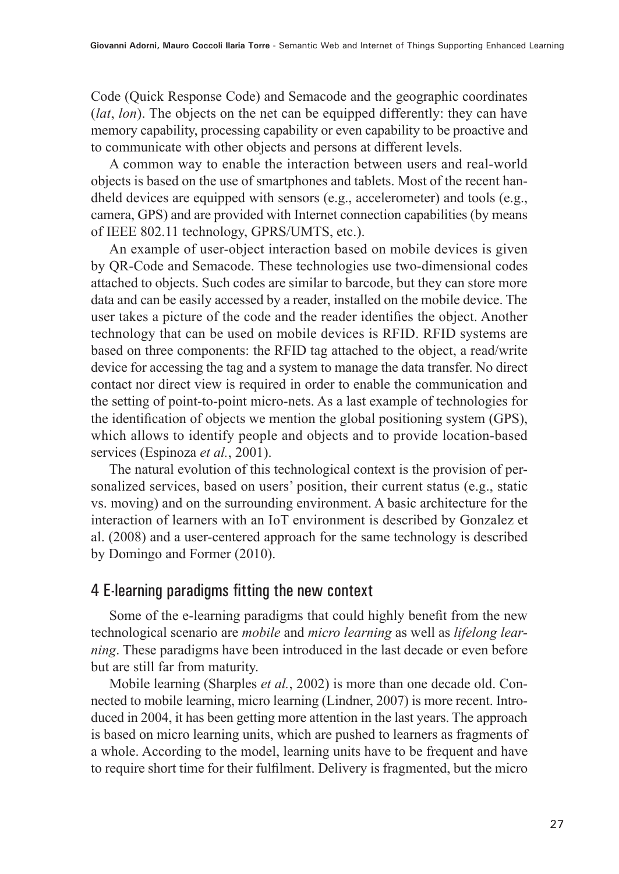Code (Quick Response Code) and Semacode and the geographic coordinates (*lat*, *lon*). The objects on the net can be equipped differently: they can have memory capability, processing capability or even capability to be proactive and to communicate with other objects and persons at different levels.

A common way to enable the interaction between users and real-world objects is based on the use of smartphones and tablets. Most of the recent handheld devices are equipped with sensors (e.g., accelerometer) and tools (e.g., camera, GPS) and are provided with Internet connection capabilities (by means of IEEE 802.11 technology, GPRS/UMTS, etc.).

An example of user-object interaction based on mobile devices is given by QR-Code and Semacode. These technologies use two-dimensional codes attached to objects. Such codes are similar to barcode, but they can store more data and can be easily accessed by a reader, installed on the mobile device. The user takes a picture of the code and the reader identifies the object. Another technology that can be used on mobile devices is RFID. RFID systems are based on three components: the RFID tag attached to the object, a read/write device for accessing the tag and a system to manage the data transfer. No direct contact nor direct view is required in order to enable the communication and the setting of point-to-point micro-nets. As a last example of technologies for the identification of objects we mention the global positioning system (GPS), which allows to identify people and objects and to provide location-based services (Espinoza *et al.*, 2001).

The natural evolution of this technological context is the provision of personalized services, based on users' position, their current status (e.g., static vs. moving) and on the surrounding environment. A basic architecture for the interaction of learners with an IoT environment is described by Gonzalez et al. (2008) and a user-centered approach for the same technology is described by Domingo and Former (2010).

## 4 E-learning paradigms fitting the new context

Some of the e-learning paradigms that could highly benefit from the new technological scenario are *mobile* and *micro learning* as well as *lifelong learning*. These paradigms have been introduced in the last decade or even before but are still far from maturity.

Mobile learning (Sharples *et al.*, 2002) is more than one decade old. Connected to mobile learning, micro learning (Lindner, 2007) is more recent. Introduced in 2004, it has been getting more attention in the last years. The approach is based on micro learning units, which are pushed to learners as fragments of a whole. According to the model, learning units have to be frequent and have to require short time for their fulfilment. Delivery is fragmented, but the micro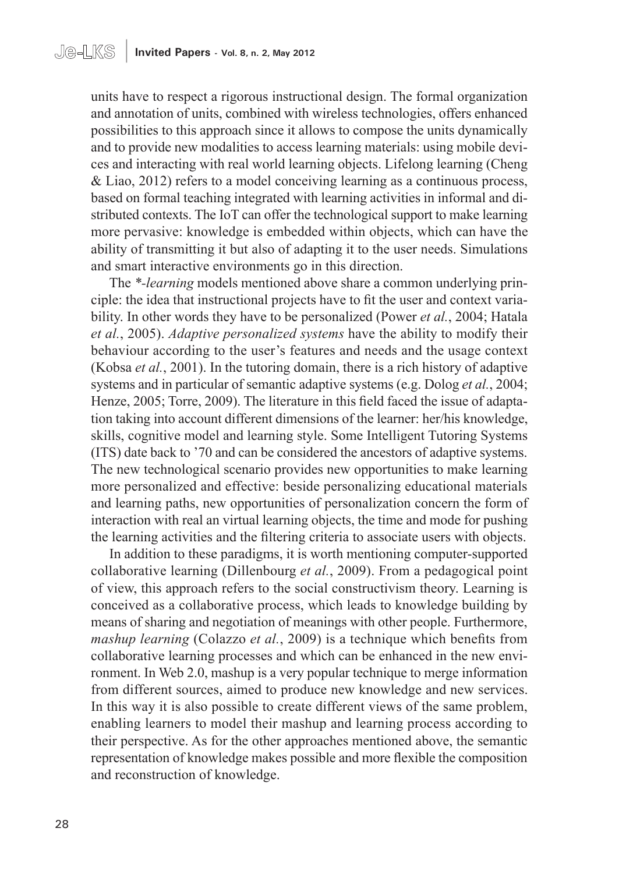units have to respect a rigorous instructional design. The formal organization and annotation of units, combined with wireless technologies, offers enhanced possibilities to this approach since it allows to compose the units dynamically and to provide new modalities to access learning materials: using mobile devices and interacting with real world learning objects. Lifelong learning (Cheng & Liao, 2012) refers to a model conceiving learning as a continuous process, based on formal teaching integrated with learning activities in informal and distributed contexts. The IoT can offer the technological support to make learning more pervasive: knowledge is embedded within objects, which can have the ability of transmitting it but also of adapting it to the user needs. Simulations and smart interactive environments go in this direction.

The *\*-learning* models mentioned above share a common underlying principle: the idea that instructional projects have to fit the user and context variability. In other words they have to be personalized (Power *et al.*, 2004; Hatala *et al.*, 2005). *Adaptive personalized systems* have the ability to modify their behaviour according to the user's features and needs and the usage context (Kobsa *et al.*, 2001). In the tutoring domain, there is a rich history of adaptive systems and in particular of semantic adaptive systems (e.g. Dolog *et al.*, 2004; Henze, 2005; Torre, 2009). The literature in this field faced the issue of adaptation taking into account different dimensions of the learner: her/his knowledge, skills, cognitive model and learning style. Some Intelligent Tutoring Systems (ITS) date back to '70 and can be considered the ancestors of adaptive systems. The new technological scenario provides new opportunities to make learning more personalized and effective: beside personalizing educational materials and learning paths, new opportunities of personalization concern the form of interaction with real an virtual learning objects, the time and mode for pushing the learning activities and the filtering criteria to associate users with objects.

In addition to these paradigms, it is worth mentioning computer-supported collaborative learning (Dillenbourg *et al.*, 2009). From a pedagogical point of view, this approach refers to the social constructivism theory. Learning is conceived as a collaborative process, which leads to knowledge building by means of sharing and negotiation of meanings with other people. Furthermore, *mashup learning* (Colazzo *et al.*, 2009) is a technique which benefits from collaborative learning processes and which can be enhanced in the new environment. In Web 2.0, mashup is a very popular technique to merge information from different sources, aimed to produce new knowledge and new services. In this way it is also possible to create different views of the same problem, enabling learners to model their mashup and learning process according to their perspective. As for the other approaches mentioned above, the semantic representation of knowledge makes possible and more flexible the composition and reconstruction of knowledge.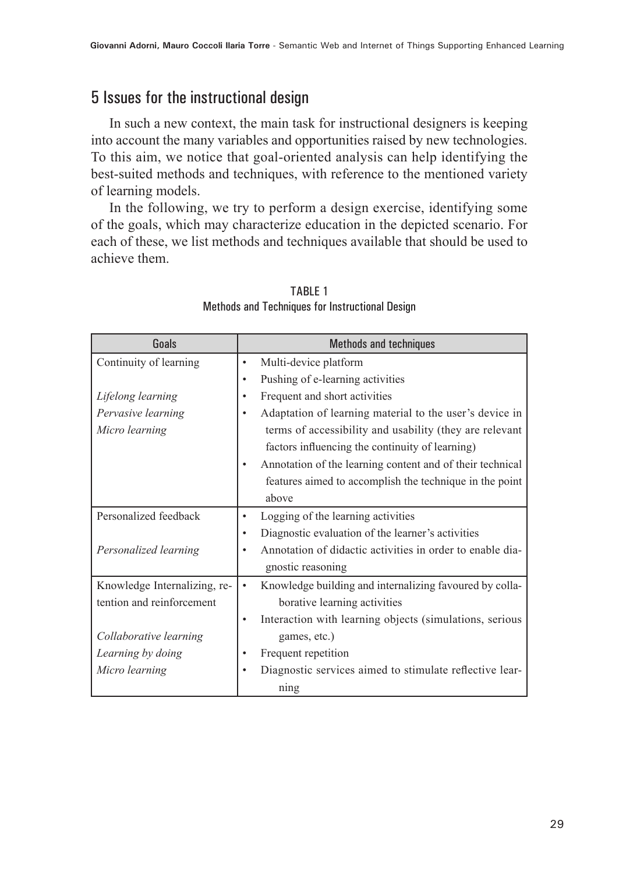# 5 Issues for the instructional design

In such a new context, the main task for instructional designers is keeping into account the many variables and opportunities raised by new technologies. To this aim, we notice that goal-oriented analysis can help identifying the best-suited methods and techniques, with reference to the mentioned variety of learning models.

In the following, we try to perform a design exercise, identifying some of the goals, which may characterize education in the depicted scenario. For each of these, we list methods and techniques available that should be used to achieve them.

| Goals                        | <b>Methods and techniques</b>                                          |
|------------------------------|------------------------------------------------------------------------|
| Continuity of learning       | Multi-device platform<br>$\bullet$                                     |
|                              | Pushing of e-learning activities<br>$\bullet$                          |
| Lifelong learning            | Frequent and short activities<br>$\bullet$                             |
| Pervasive learning           | Adaptation of learning material to the user's device in<br>$\bullet$   |
| Micro learning               | terms of accessibility and usability (they are relevant                |
|                              | factors influencing the continuity of learning)                        |
|                              | Annotation of the learning content and of their technical<br>$\bullet$ |
|                              | features aimed to accomplish the technique in the point                |
|                              | above                                                                  |
| Personalized feedback        | Logging of the learning activities<br>$\bullet$                        |
|                              | Diagnostic evaluation of the learner's activities<br>٠                 |
| Personalized learning        | Annotation of didactic activities in order to enable dia-<br>٠         |
|                              | gnostic reasoning                                                      |
| Knowledge Internalizing, re- | Knowledge building and internalizing favoured by colla-<br>$\bullet$   |
| tention and reinforcement    | borative learning activities                                           |
|                              | Interaction with learning objects (simulations, serious<br>$\bullet$   |
| Collaborative learning       | games, etc.)                                                           |
| Learning by doing            | Frequent repetition<br>$\bullet$                                       |
| Micro learning               | Diagnostic services aimed to stimulate reflective lear-<br>٠           |
|                              | ning                                                                   |

#### TABLE 1 Methods and Techniques for Instructional Design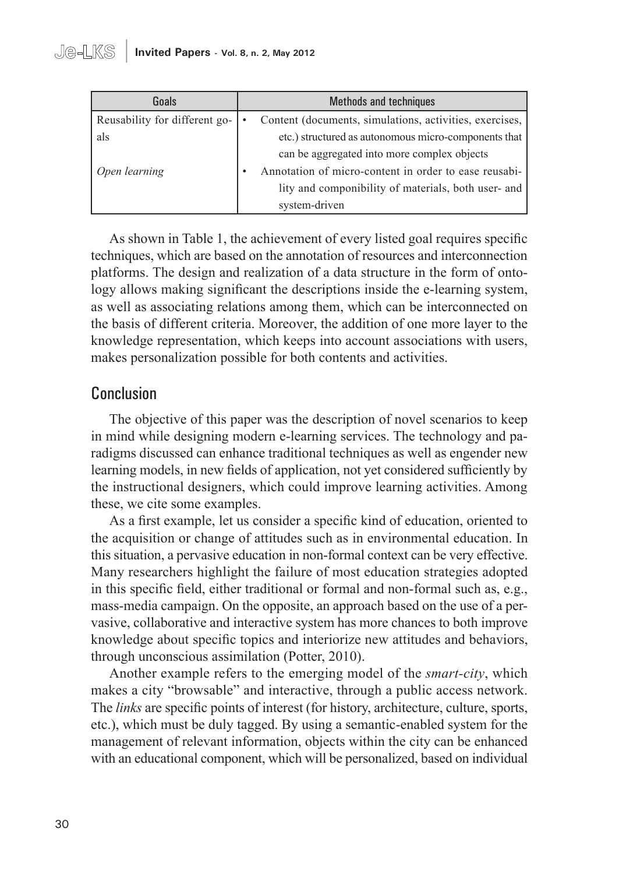| Goals                         | <b>Methods and techniques</b>                           |
|-------------------------------|---------------------------------------------------------|
| Reusability for different go- | Content (documents, simulations, activities, exercises, |
| als                           | etc.) structured as autonomous micro-components that    |
|                               | can be aggregated into more complex objects             |
| Open learning                 | Annotation of micro-content in order to ease reusabi-   |
|                               | lity and componibility of materials, both user- and     |
|                               | system-driven                                           |

As shown in Table 1, the achievement of every listed goal requires specific techniques, which are based on the annotation of resources and interconnection platforms. The design and realization of a data structure in the form of ontology allows making significant the descriptions inside the e-learning system, as well as associating relations among them, which can be interconnected on the basis of different criteria. Moreover, the addition of one more layer to the knowledge representation, which keeps into account associations with users, makes personalization possible for both contents and activities.

# Conclusion

The objective of this paper was the description of novel scenarios to keep in mind while designing modern e-learning services. The technology and paradigms discussed can enhance traditional techniques as well as engender new learning models, in new fields of application, not yet considered sufficiently by the instructional designers, which could improve learning activities. Among these, we cite some examples.

As a first example, let us consider a specific kind of education, oriented to the acquisition or change of attitudes such as in environmental education. In this situation, a pervasive education in non-formal context can be very effective. Many researchers highlight the failure of most education strategies adopted in this specific field, either traditional or formal and non-formal such as, e.g., mass-media campaign. On the opposite, an approach based on the use of a pervasive, collaborative and interactive system has more chances to both improve knowledge about specific topics and interiorize new attitudes and behaviors, through unconscious assimilation (Potter, 2010).

Another example refers to the emerging model of the *smart-city*, which makes a city "browsable" and interactive, through a public access network. The *links* are specific points of interest (for history, architecture, culture, sports, etc.), which must be duly tagged. By using a semantic-enabled system for the management of relevant information, objects within the city can be enhanced with an educational component, which will be personalized, based on individual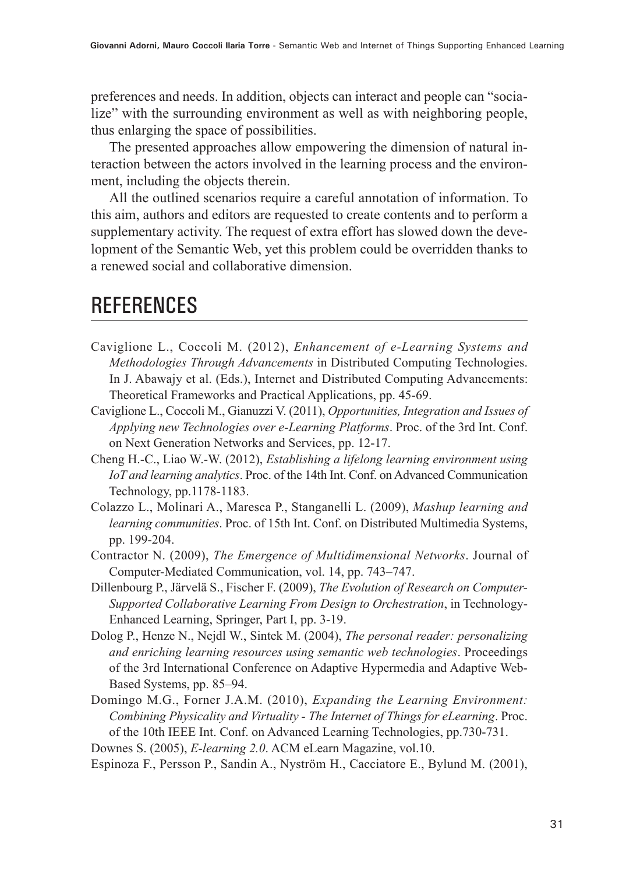preferences and needs. In addition, objects can interact and people can "socialize" with the surrounding environment as well as with neighboring people, thus enlarging the space of possibilities.

The presented approaches allow empowering the dimension of natural interaction between the actors involved in the learning process and the environment, including the objects therein.

All the outlined scenarios require a careful annotation of information. To this aim, authors and editors are requested to create contents and to perform a supplementary activity. The request of extra effort has slowed down the development of the Semantic Web, yet this problem could be overridden thanks to a renewed social and collaborative dimension.

# **REFERENCES**

- Caviglione L., Coccoli M. (2012), *Enhancement of e-Learning Systems and Methodologies Through Advancements* in Distributed Computing Technologies. In J. Abawajy et al. (Eds.), Internet and Distributed Computing Advancements: Theoretical Frameworks and Practical Applications, pp. 45-69.
- Caviglione L., Coccoli M., Gianuzzi V. (2011), *Opportunities, Integration and Issues of Applying new Technologies over e-Learning Platforms*. Proc. of the 3rd Int. Conf. on Next Generation Networks and Services, pp. 12-17.
- Cheng H.-C., Liao W.-W. (2012), *Establishing a lifelong learning environment using IoT and learning analytics*. Proc. of the 14th Int. Conf. on Advanced Communication Technology, pp.1178-1183.
- Colazzo L., Molinari A., Maresca P., Stanganelli L. (2009), *Mashup learning and learning communities*. Proc. of 15th Int. Conf. on Distributed Multimedia Systems, pp. 199-204.
- Contractor N. (2009), *The Emergence of Multidimensional Networks*. Journal of Computer-Mediated Communication, vol. 14, pp. 743–747.
- Dillenbourg P., Järvelä S., Fischer F. (2009), *The Evolution of Research on Computer-Supported Collaborative Learning From Design to Orchestration*, in Technology-Enhanced Learning, Springer, Part I, pp. 3-19.
- Dolog P., Henze N., Nejdl W., Sintek M. (2004), *The personal reader: personalizing and enriching learning resources using semantic web technologies*. Proceedings of the 3rd International Conference on Adaptive Hypermedia and Adaptive Web-Based Systems, pp. 85–94.
- Domingo M.G., Forner J.A.M. (2010), *Expanding the Learning Environment: Combining Physicality and Virtuality - The Internet of Things for eLearning*. Proc. of the 10th IEEE Int. Conf. on Advanced Learning Technologies, pp.730-731.
- Downes S. (2005), *E-learning 2.0*. ACM eLearn Magazine, vol.10.
- Espinoza F., Persson P., Sandin A., Nyström H., Cacciatore E., Bylund M. (2001),